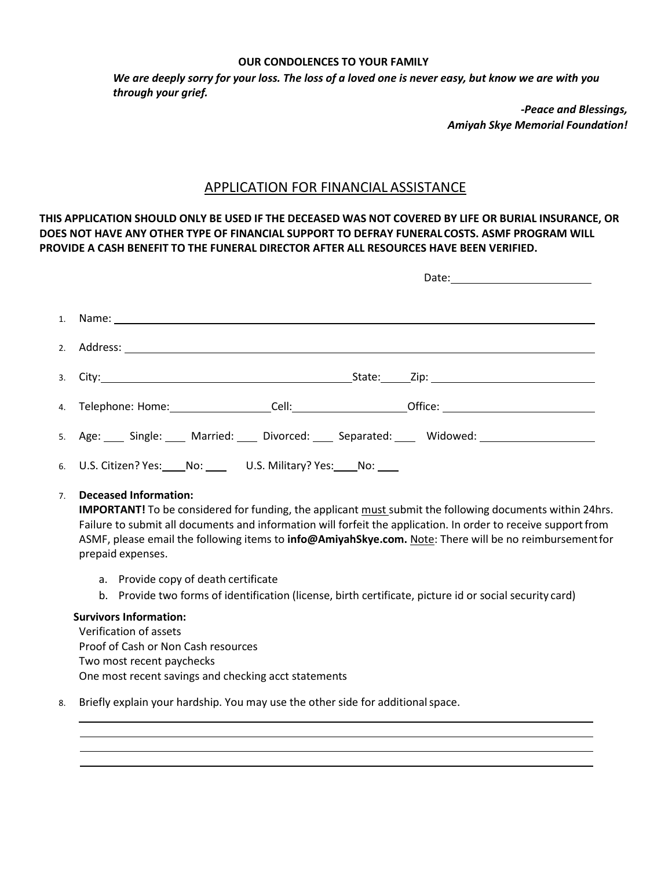## **OUR CONDOLENCES TO YOUR FAMILY**

*We are deeply sorry for your loss. The loss of a loved one is never easy, but know we are with you through your grief.*

> *-Peace and Blessings, Amiyah Skye Memorial Foundation!*

## APPLICATION FOR FINANCIAL ASSISTANCE

THIS APPLICATION SHOULD ONLY BE USED IF THE DECEASED WAS NOT COVERED BY LIFE OR BURIAL INSURANCE, OR **DOES NOT HAVE ANY OTHER TYPE OF FINANCIAL SUPPORT TO DEFRAY FUNERALCOSTS. ASMF PROGRAM WILL PROVIDE A CASH BENEFIT TO THE FUNERAL DIRECTOR AFTER ALL RESOURCES HAVE BEEN VERIFIED.**

| 1. Name: 1. 2008. 2010. 2010. 2010. 2010. 2010. 2010. 2011. 2012. 2014. 2014. 2014. 2014. 2014. 2014. 2014. 20 |  |                                                                                                                                                                                                                                |
|----------------------------------------------------------------------------------------------------------------|--|--------------------------------------------------------------------------------------------------------------------------------------------------------------------------------------------------------------------------------|
|                                                                                                                |  |                                                                                                                                                                                                                                |
|                                                                                                                |  | 3. City: 2008. City: 21. City: 21. City: 21. City: 21. City: 21. City: 21. City: 21. City: 21. City: 21. City: 21. City: 21. City: 21. City: 21. City: 21. City: 21. City: 21. City: 21. City: 21. City: 21. City: 21. City: 2 |
|                                                                                                                |  | 4. Telephone: Home: ____________________Cell: ______________________Office: _____________________________                                                                                                                      |
|                                                                                                                |  | 5. Age: Single: Married: Divorced: Separated: Widowed: 1980                                                                                                                                                                    |
| 6. U.S. Citizen? Yes: No: U.S. Military? Yes: No: No:                                                          |  |                                                                                                                                                                                                                                |

7. **Deceased Information:**

**IMPORTANT!** To be considered for funding, the applicant must submit the following documents within 24hrs. Failure to submit all documents and information will forfeit the application. In order to receive supportfrom ASMF, please email the following items to **[info@AmiyahSkye.com.](mailto:info@AmiyahSkye.com)** Note: There will be no reimbursementfor prepaid expenses.

- a. Provide copy of death certificate
- b. Provide two forms of identification (license, birth certificate, picture id or social security card)

## **Survivors Information:**

Verification of assets Proof of Cash or Non Cash resources Two most recent paychecks One most recent savings and checking acct statements

8. Briefly explain your hardship. You may use the other side for additional space.